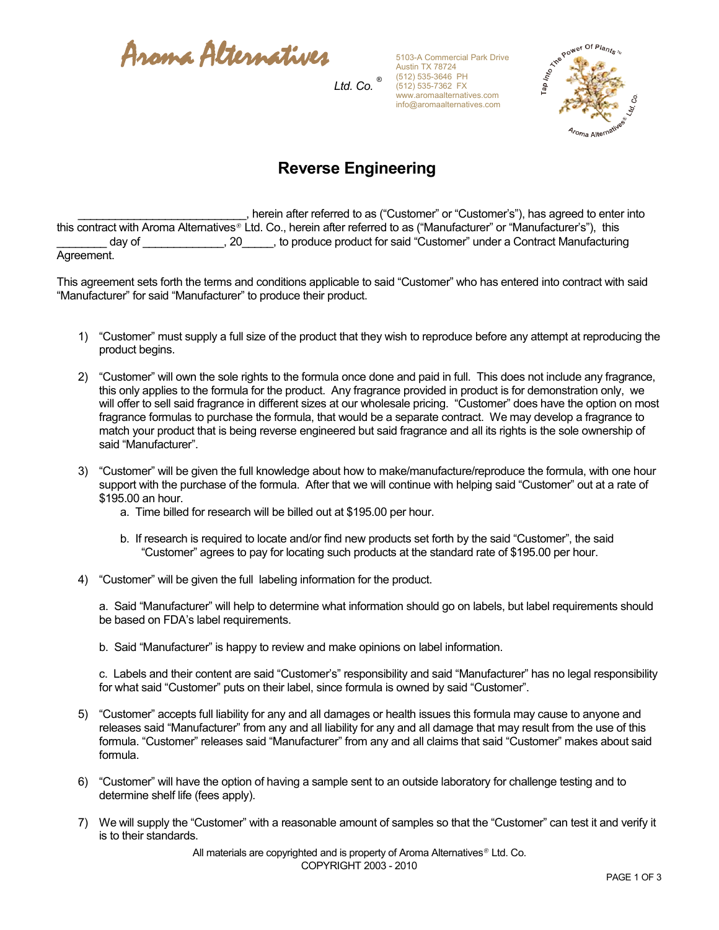Aroma Alternatives

5103-A Commercial Park Drive Austin TX 78724 (512) 535-3646 PH (512) 535-7362 FX www.aromaalternatives.com info@aromaalternatives.com



## **Reverse Engineering**

*Ltd. Co. ®*

\_\_\_\_\_\_\_\_\_\_\_\_\_\_\_\_\_\_\_\_\_\_\_\_\_\_\_, herein after referred to as ("Customer" or "Customer's"), has agreed to enter into this contract with Aroma Alternatives® Ltd. Co., herein after referred to as ("Manufacturer" or "Manufacturer's"), this day of \_\_\_\_\_\_\_\_\_\_\_\_\_\_, 20\_\_\_\_\_, to produce product for said "Customer" under a Contract Manufacturing Agreement.

This agreement sets forth the terms and conditions applicable to said "Customer" who has entered into contract with said "Manufacturer" for said "Manufacturer" to produce their product.

- 1) "Customer" must supply a full size of the product that they wish to reproduce before any attempt at reproducing the product begins.
- 2) "Customer" will own the sole rights to the formula once done and paid in full. This does not include any fragrance, this only applies to the formula for the product. Any fragrance provided in product is for demonstration only, we will offer to sell said fragrance in different sizes at our wholesale pricing. "Customer" does have the option on most fragrance formulas to purchase the formula, that would be a separate contract. We may develop a fragrance to match your product that is being reverse engineered but said fragrance and all its rights is the sole ownership of said "Manufacturer".
- 3) "Customer" will be given the full knowledge about how to make/manufacture/reproduce the formula, with one hour support with the purchase of the formula. After that we will continue with helping said "Customer" out at a rate of \$195.00 an hour.
	- a. Time billed for research will be billed out at \$195.00 per hour.
	- b. If research is required to locate and/or find new products set forth by the said "Customer", the said "Customer" agrees to pay for locating such products at the standard rate of \$195.00 per hour.
- 4) "Customer" will be given the full labeling information for the product.

a. Said "Manufacturer" will help to determine what information should go on labels, but label requirements should be based on FDA's label requirements.

b. Said "Manufacturer" is happy to review and make opinions on label information.

c. Labels and their content are said "Customer's" responsibility and said "Manufacturer" has no legal responsibility for what said "Customer" puts on their label, since formula is owned by said "Customer".

- 5) "Customer" accepts full liability for any and all damages or health issues this formula may cause to anyone and releases said "Manufacturer" from any and all liability for any and all damage that may result from the use of this formula. "Customer" releases said "Manufacturer" from any and all claims that said "Customer" makes about said formula.
- 6) "Customer" will have the option of having a sample sent to an outside laboratory for challenge testing and to determine shelf life (fees apply).
- 7) We will supply the "Customer" with a reasonable amount of samples so that the "Customer" can test it and verify it is to their standards.

All materials are copyrighted and is property of Aroma Alternatives<sup>®</sup> Ltd. Co. COPYRIGHT 2003 - 2010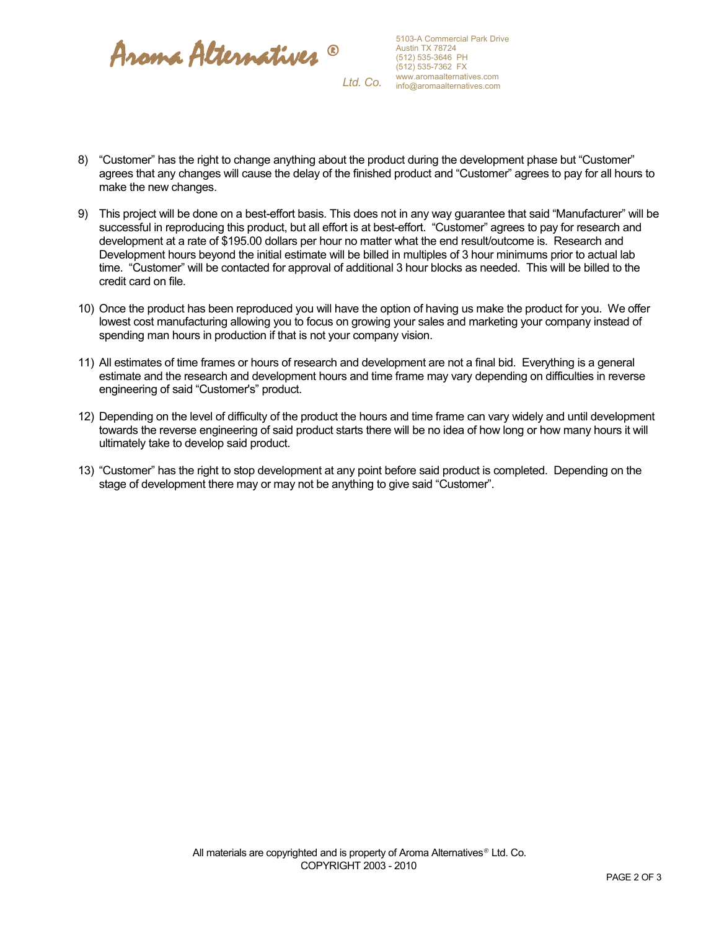

- 8) "Customer" has the right to change anything about the product during the development phase but "Customer" agrees that any changes will cause the delay of the finished product and "Customer" agrees to pay for all hours to make the new changes.
- 9) This project will be done on a best-effort basis. This does not in any way guarantee that said "Manufacturer" will be successful in reproducing this product, but all effort is at best-effort. "Customer" agrees to pay for research and development at a rate of \$195.00 dollars per hour no matter what the end result/outcome is. Research and Development hours beyond the initial estimate will be billed in multiples of 3 hour minimums prior to actual lab time. "Customer" will be contacted for approval of additional 3 hour blocks as needed. This will be billed to the credit card on file.
- 10) Once the product has been reproduced you will have the option of having us make the product for you. We offer lowest cost manufacturing allowing you to focus on growing your sales and marketing your company instead of spending man hours in production if that is not your company vision.
- 11) All estimates of time frames or hours of research and development are not a final bid. Everything is a general estimate and the research and development hours and time frame may vary depending on difficulties in reverse engineering of said "Customer's" product.
- 12) Depending on the level of difficulty of the product the hours and time frame can vary widely and until development towards the reverse engineering of said product starts there will be no idea of how long or how many hours it will ultimately take to develop said product.
- 13) "Customer" has the right to stop development at any point before said product is completed. Depending on the stage of development there may or may not be anything to give said "Customer".